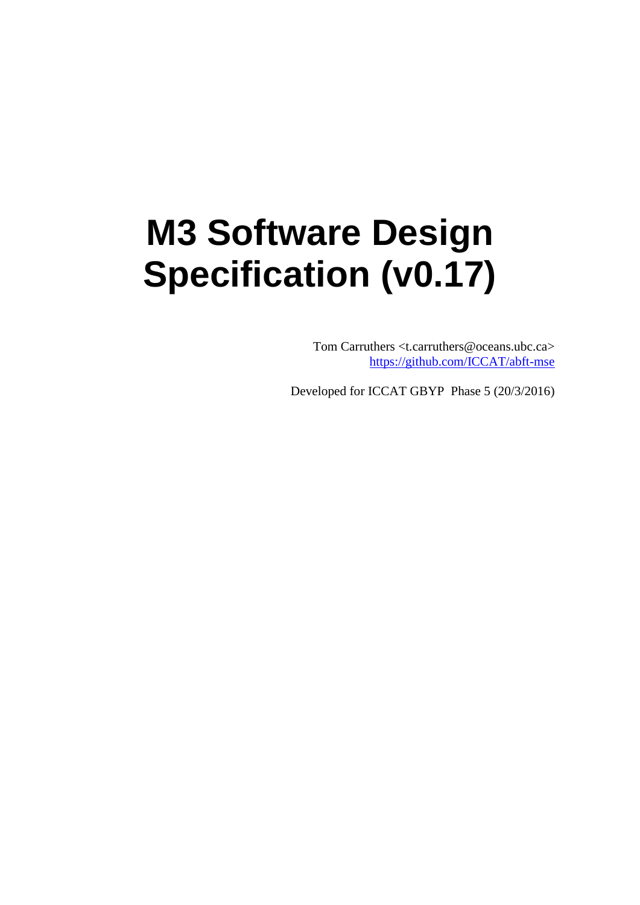# **M3 Software Design Specification (v0.17)**

Tom Carruthers <t.carruthers@oceans.ubc.ca> <https://github.com/ICCAT/abft-mse>

Developed for ICCAT GBYP Phase 5 (20/3/2016)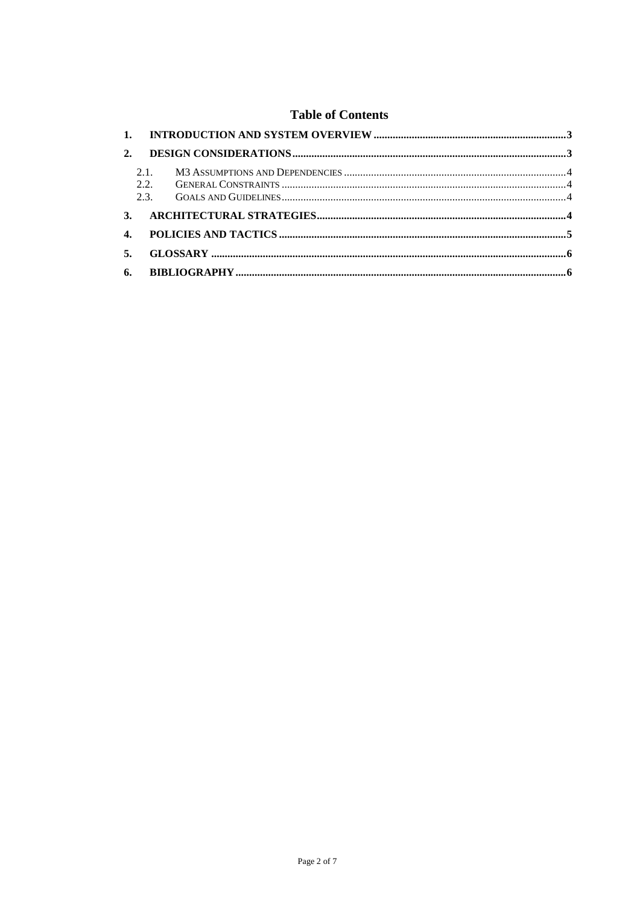#### **Table of Contents**

| 2.             |             |  |
|----------------|-------------|--|
|                | 2.1<br>2.2. |  |
|                |             |  |
| $\mathbf{3}$ . |             |  |
| $\mathbf{4}$ . |             |  |
| 5.             |             |  |
|                |             |  |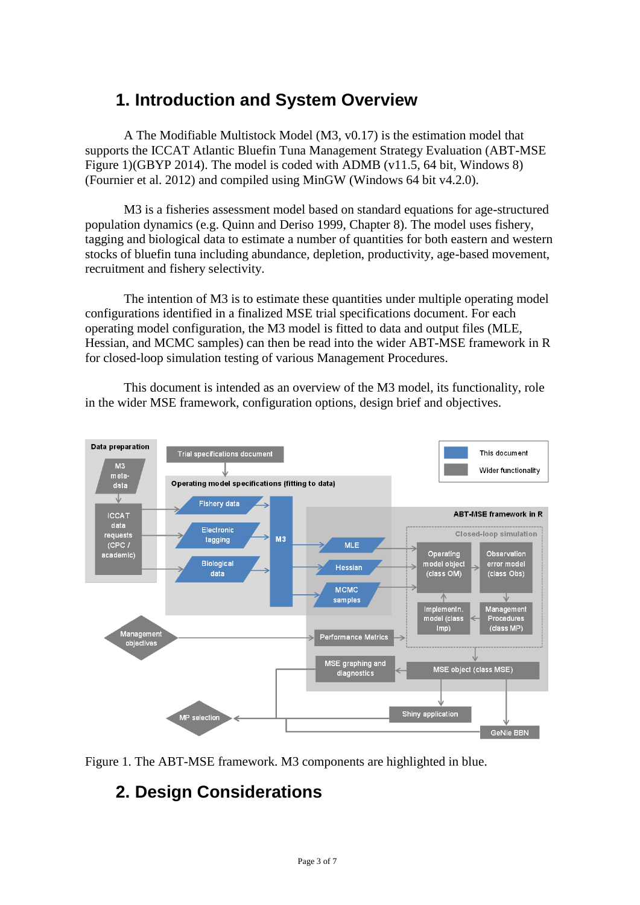# <span id="page-2-0"></span>**1. Introduction and System Overview**

A The Modifiable Multistock Model (M3, v0.17) is the estimation model that supports the ICCAT Atlantic Bluefin Tuna Management Strategy Evaluation (ABT-MSE Figure 1)(GBYP 2014). The model is coded with ADMB (v11.5, 64 bit, Windows 8) (Fournier et al. 2012) and compiled using MinGW (Windows 64 bit v4.2.0).

M3 is a fisheries assessment model based on standard equations for age-structured population dynamics (e.g. Quinn and Deriso 1999, Chapter 8). The model uses fishery, tagging and biological data to estimate a number of quantities for both eastern and western stocks of bluefin tuna including abundance, depletion, productivity, age-based movement, recruitment and fishery selectivity.

The intention of M3 is to estimate these quantities under multiple operating model configurations identified in a finalized MSE trial specifications document. For each operating model configuration, the M3 model is fitted to data and output files (MLE, Hessian, and MCMC samples) can then be read into the wider ABT-MSE framework in R for closed-loop simulation testing of various Management Procedures.

This document is intended as an overview of the M3 model, its functionality, role in the wider MSE framework, configuration options, design brief and objectives.



<span id="page-2-1"></span>Figure 1. The ABT-MSE framework. M3 components are highlighted in blue.

# **2. Design Considerations**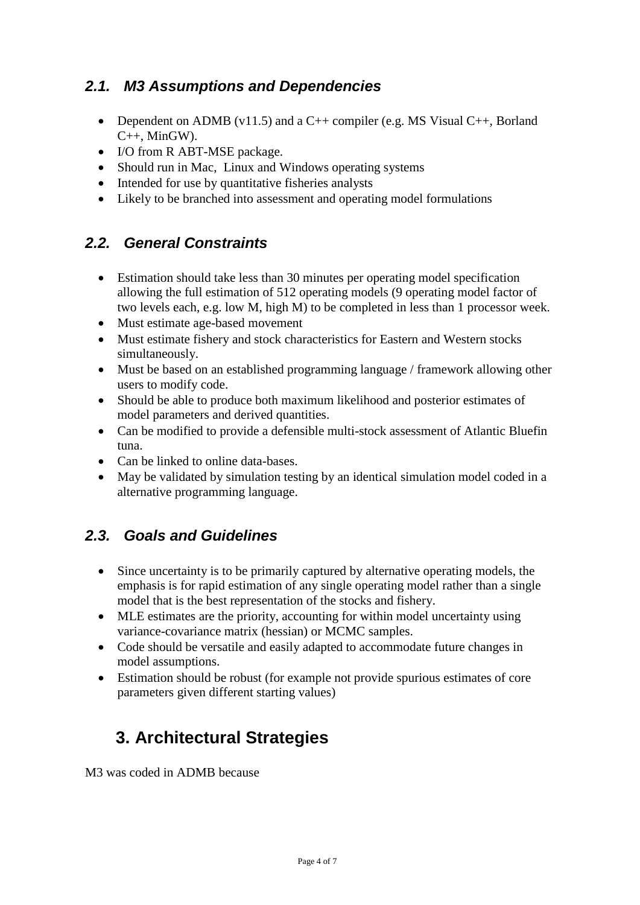#### <span id="page-3-0"></span>*2.1. M3 Assumptions and Dependencies*

- Dependent on ADMB (v11.5) and a C++ compiler (e.g. MS Visual C++, Borland  $C_{++}$ , MinGW).
- I/O from R ABT-MSE package.
- Should run in Mac, Linux and Windows operating systems
- Intended for use by quantitative fisheries analysts
- Likely to be branched into assessment and operating model formulations

#### <span id="page-3-1"></span>*2.2. General Constraints*

- Estimation should take less than 30 minutes per operating model specification allowing the full estimation of 512 operating models (9 operating model factor of two levels each, e.g. low M, high M) to be completed in less than 1 processor week.
- Must estimate age-based movement
- Must estimate fishery and stock characteristics for Eastern and Western stocks simultaneously.
- Must be based on an established programming language / framework allowing other users to modify code.
- Should be able to produce both maximum likelihood and posterior estimates of model parameters and derived quantities.
- Can be modified to provide a defensible multi-stock assessment of Atlantic Bluefin tuna.
- Can be linked to online data-bases.
- May be validated by simulation testing by an identical simulation model coded in a alternative programming language.

#### <span id="page-3-2"></span>*2.3. Goals and Guidelines*

- Since uncertainty is to be primarily captured by alternative operating models, the emphasis is for rapid estimation of any single operating model rather than a single model that is the best representation of the stocks and fishery.
- MLE estimates are the priority, accounting for within model uncertainty using variance-covariance matrix (hessian) or MCMC samples.
- Code should be versatile and easily adapted to accommodate future changes in model assumptions.
- Estimation should be robust (for example not provide spurious estimates of core parameters given different starting values)

# <span id="page-3-3"></span>**3. Architectural Strategies**

M3 was coded in ADMB because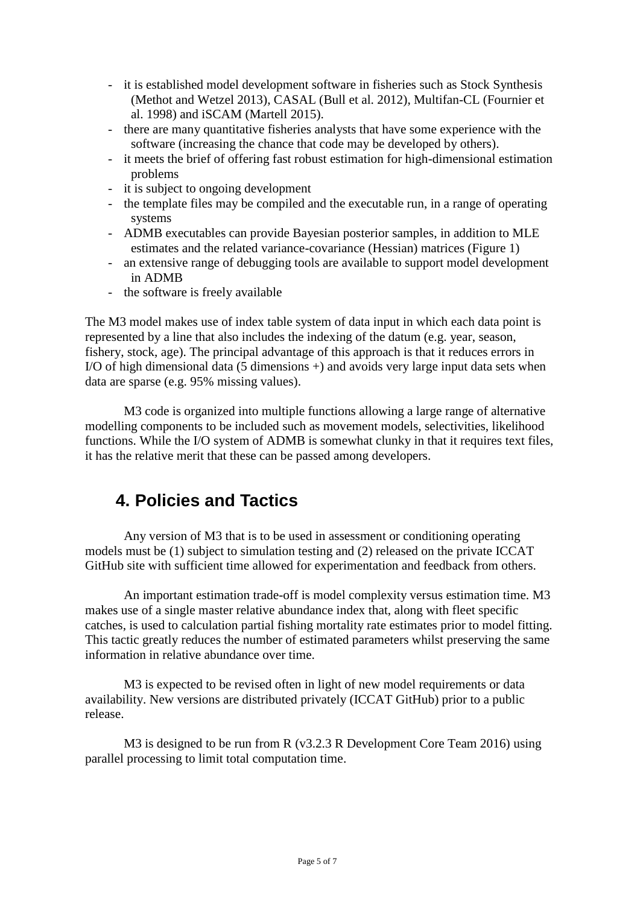- it is established model development software in fisheries such as Stock Synthesis (Methot and Wetzel 2013), CASAL (Bull et al. 2012), Multifan-CL (Fournier et al. 1998) and iSCAM (Martell 2015).
- there are many quantitative fisheries analysts that have some experience with the software (increasing the chance that code may be developed by others).
- it meets the brief of offering fast robust estimation for high-dimensional estimation problems
- it is subject to ongoing development
- the template files may be compiled and the executable run, in a range of operating systems
- ADMB executables can provide Bayesian posterior samples, in addition to MLE estimates and the related variance-covariance (Hessian) matrices (Figure 1)
- an extensive range of debugging tools are available to support model development in ADMB
- the software is freely available

The M3 model makes use of index table system of data input in which each data point is represented by a line that also includes the indexing of the datum (e.g. year, season, fishery, stock, age). The principal advantage of this approach is that it reduces errors in I/O of high dimensional data (5 dimensions +) and avoids very large input data sets when data are sparse (e.g. 95% missing values).

M3 code is organized into multiple functions allowing a large range of alternative modelling components to be included such as movement models, selectivities, likelihood functions. While the I/O system of ADMB is somewhat clunky in that it requires text files, it has the relative merit that these can be passed among developers.

# <span id="page-4-0"></span>**4. Policies and Tactics**

Any version of M3 that is to be used in assessment or conditioning operating models must be (1) subject to simulation testing and (2) released on the private ICCAT GitHub site with sufficient time allowed for experimentation and feedback from others.

An important estimation trade-off is model complexity versus estimation time. M3 makes use of a single master relative abundance index that, along with fleet specific catches, is used to calculation partial fishing mortality rate estimates prior to model fitting. This tactic greatly reduces the number of estimated parameters whilst preserving the same information in relative abundance over time.

M3 is expected to be revised often in light of new model requirements or data availability. New versions are distributed privately (ICCAT GitHub) prior to a public release.

M3 is designed to be run from R (v3.2.3 R Development Core Team 2016) using parallel processing to limit total computation time.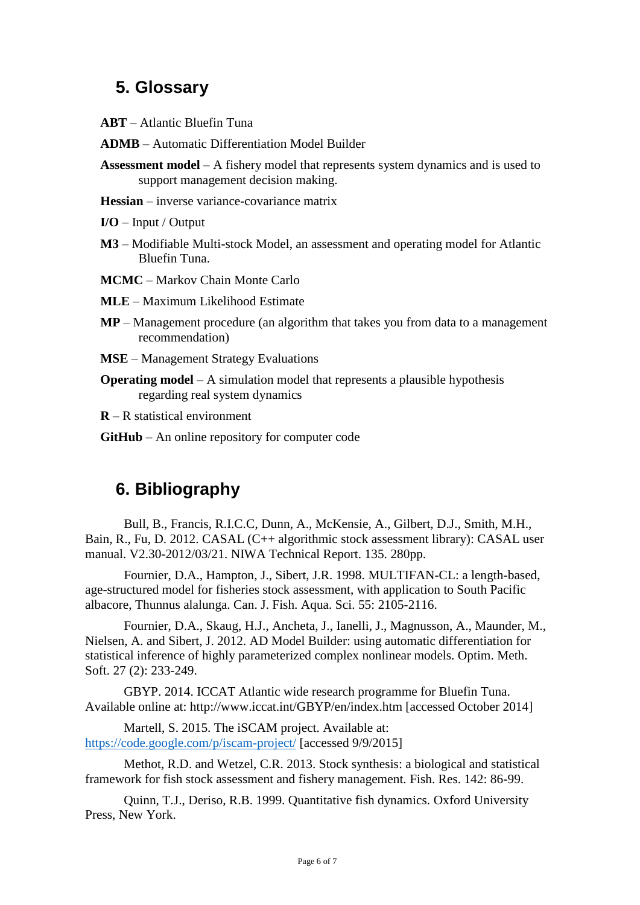# <span id="page-5-0"></span>**5. Glossary**

- **ABT** Atlantic Bluefin Tuna
- **ADMB** Automatic Differentiation Model Builder
- **Assessment model** A fishery model that represents system dynamics and is used to support management decision making.
- **Hessian**  inverse variance-covariance matrix
- **I/O**  Input / Output
- **M3** Modifiable Multi-stock Model, an assessment and operating model for Atlantic Bluefin Tuna.
- **MCMC**  Markov Chain Monte Carlo
- **MLE**  Maximum Likelihood Estimate
- **MP** Management procedure (an algorithm that takes you from data to a management recommendation)
- **MSE** Management Strategy Evaluations
- **Operating model** A simulation model that represents a plausible hypothesis regarding real system dynamics
- **R** R statistical environment
- **GitHub** An online repository for computer code

# <span id="page-5-1"></span>**6. Bibliography**

Bull, B., Francis, R.I.C.C, Dunn, A., McKensie, A., Gilbert, D.J., Smith, M.H., Bain, R., Fu, D. 2012. CASAL (C++ algorithmic stock assessment library): CASAL user manual. V2.30-2012/03/21. NIWA Technical Report. 135. 280pp.

Fournier, D.A., Hampton, J., Sibert, J.R. 1998. MULTIFAN-CL: a length-based, age-structured model for fisheries stock assessment, with application to South Pacific albacore, Thunnus alalunga. Can. J. Fish. Aqua. Sci. 55: 2105-2116.

Fournier, D.A., Skaug, H.J., Ancheta, J., Ianelli, J., Magnusson, A., Maunder, M., Nielsen, A. and Sibert, J. 2012. AD Model Builder: using automatic differentiation for statistical inference of highly parameterized complex nonlinear models. Optim. Meth. Soft. 27 (2): 233-249.

GBYP. 2014. ICCAT Atlantic wide research programme for Bluefin Tuna. Available online at: http://www.iccat.int/GBYP/en/index.htm [accessed October 2014]

Martell, S. 2015. The iSCAM project. Available at: <https://code.google.com/p/iscam-project/> [accessed 9/9/2015]

Methot, R.D. and Wetzel, C.R. 2013. Stock synthesis: a biological and statistical framework for fish stock assessment and fishery management. Fish. Res. 142: 86-99.

Quinn, T.J., Deriso, R.B. 1999. Quantitative fish dynamics. Oxford University Press, New York.